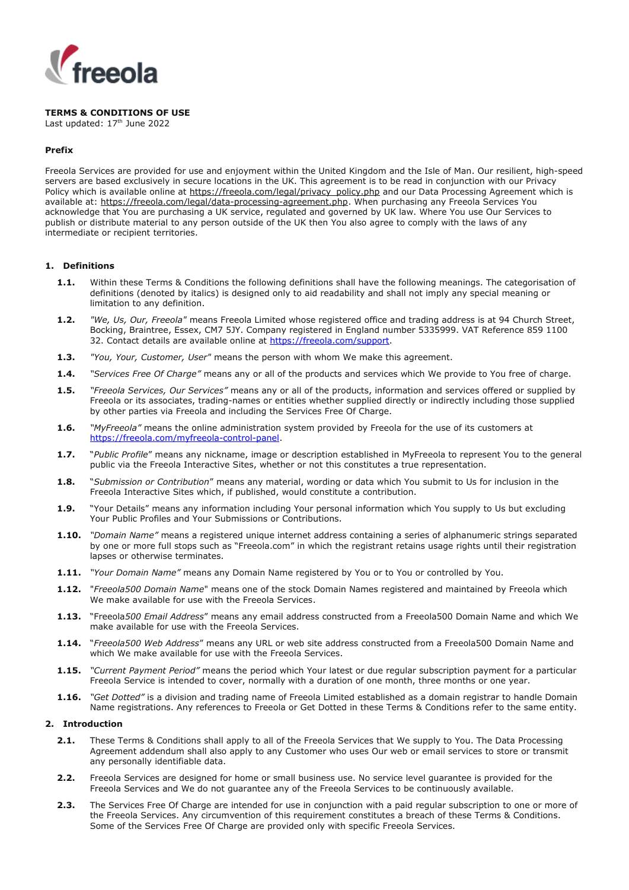

# **TERMS & CONDITIONS OF USE**

Last updated: 17<sup>th</sup> June 2022

### **Prefix**

Freeola Services are provided for use and enjoyment within the United Kingdom and the Isle of Man. Our resilient, high-speed servers are based exclusively in secure locations in the UK. This agreement is to be read in conjunction with our Privacy Policy which is available online at [https://freeola.com/legal/privacy\\_policy.php](https://freeola.com/legal/privacy_policy.php) and our Data Processing Agreement which is available at: [https://freeola.com/legal/data-processing-agreement.php.](https://freeola.com/legal/data-processing-agreement.php) When purchasing any Freeola Services You acknowledge that You are purchasing a UK service, regulated and governed by UK law. Where You use Our Services to publish or distribute material to any person outside of the UK then You also agree to comply with the laws of any intermediate or recipient territories.

### **1. Definitions**

- **1.1.** Within these Terms & Conditions the following definitions shall have the following meanings. The categorisation of definitions (denoted by italics) is designed only to aid readability and shall not imply any special meaning or limitation to any definition.
- **1.2.** *"We, Us, Our, Freeola"* means Freeola Limited whose registered office and trading address is at 94 Church Street, Bocking, Braintree, Essex, CM7 5JY. Company registered in England number 5335999. VAT Reference 859 1100 32. Contact details are available online at [https://freeola.com/support.](http://freeola.com/support)
- **1.3.** *"You, Your, Customer, User"* means the person with whom We make this agreement.
- **1.4.** *"Services Free Of Charge"* means any or all of the products and services which We provide to You free of charge.
- **1.5.** *"Freeola Services, Our Services"* means any or all of the products, information and services offered or supplied by Freeola or its associates, trading-names or entities whether supplied directly or indirectly including those supplied by other parties via Freeola and including the Services Free Of Charge.
- **1.6.** *"MyFreeola"* means the online administration system provided by Freeola for the use of its customers at [https://freeola.com/myfreeola-control-panel.](http://freeola.com/myfreeola-control-panel)
- **1.7.** "*Public Profile*" means any nickname, image or description established in MyFreeola to represent You to the general public via the Freeola Interactive Sites, whether or not this constitutes a true representation.
- **1.8.** "*Submission or Contribution*" means any material, wording or data which You submit to Us for inclusion in the Freeola Interactive Sites which, if published, would constitute a contribution.
- **1.9.** "Your Details" means any information including Your personal information which You supply to Us but excluding Your Public Profiles and Your Submissions or Contributions.
- **1.10.** *"Domain Name"* means a registered unique internet address containing a series of alphanumeric strings separated by one or more full stops such as "Freeola.com" in which the registrant retains usage rights until their registration lapses or otherwise terminates.
- **1.11.** *"Your Domain Name"* means any Domain Name registered by You or to You or controlled by You.
- **1.12.** "*Freeola500 Domain Name*" means one of the stock Domain Names registered and maintained by Freeola which We make available for use with the Freeola Services.
- **1.13.** "Freeola*500 Email Address*" means any email address constructed from a Freeola500 Domain Name and which We make available for use with the Freeola Services.
- **1.14.** "*Freeola500 Web Address*" means any URL or web site address constructed from a Freeola500 Domain Name and which We make available for use with the Freeola Services.
- **1.15.** *"Current Payment Period"* means the period which Your latest or due regular subscription payment for a particular Freeola Service is intended to cover, normally with a duration of one month, three months or one year.
- **1.16.** *"Get Dotted"* is a division and trading name of Freeola Limited established as a domain registrar to handle Domain Name registrations. Any references to Freeola or Get Dotted in these Terms & Conditions refer to the same entity.

# **2. Introduction**

- **2.1.** These Terms & Conditions shall apply to all of the Freeola Services that We supply to You. The Data Processing Agreement addendum shall also apply to any Customer who uses Our web or email services to store or transmit any personally identifiable data.
- **2.2.** Freeola Services are designed for home or small business use. No service level guarantee is provided for the Freeola Services and We do not guarantee any of the Freeola Services to be continuously available.
- **2.3.** The Services Free Of Charge are intended for use in conjunction with a paid regular subscription to one or more of the Freeola Services. Any circumvention of this requirement constitutes a breach of these Terms & Conditions. Some of the Services Free Of Charge are provided only with specific Freeola Services.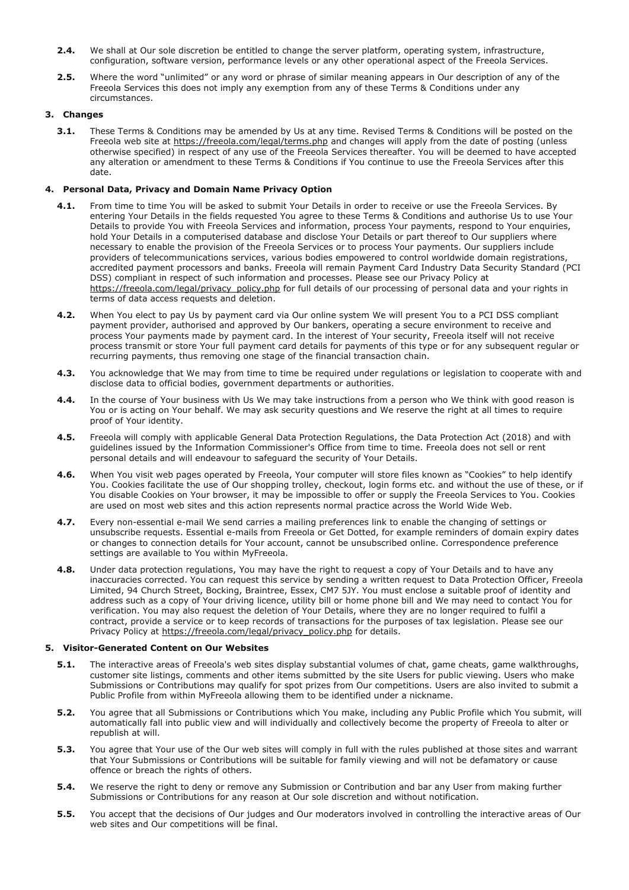- **2.4.** We shall at Our sole discretion be entitled to change the server platform, operating system, infrastructure, configuration, software version, performance levels or any other operational aspect of the Freeola Services.
- **2.5.** Where the word "unlimited" or any word or phrase of similar meaning appears in Our description of any of the Freeola Services this does not imply any exemption from any of these Terms & Conditions under any circumstances.

# **3. Changes**

**3.1.** These Terms & Conditions may be amended by Us at any time. Revised Terms & Conditions will be posted on the Freeola web site at https://freeola.com/legal/terms.php and changes will apply from the date of posting (unless otherwise specified) in respect of any use of the Freeola Services thereafter. You will be deemed to have accepted any alteration or amendment to these Terms & Conditions if You continue to use the Freeola Services after this date.

### **4. Personal Data, Privacy and Domain Name Privacy Option**

- **4.1.** From time to time You will be asked to submit Your Details in order to receive or use the Freeola Services. By entering Your Details in the fields requested You agree to these Terms & Conditions and authorise Us to use Your Details to provide You with Freeola Services and information, process Your payments, respond to Your enquiries, hold Your Details in a computerised database and disclose Your Details or part thereof to Our suppliers where necessary to enable the provision of the Freeola Services or to process Your payments. Our suppliers include providers of telecommunications services, various bodies empowered to control worldwide domain registrations, accredited payment processors and banks. Freeola will remain Payment Card Industry Data Security Standard (PCI DSS) compliant in respect of such information and processes. Please see our Privacy Policy at https://freeola.com/legal/privacy\_policy.php for full details of our processing of personal data and your rights in terms of data access requests and deletion.
- **4.2.** When You elect to pay Us by payment card via Our online system We will present You to a PCI DSS compliant payment provider, authorised and approved by Our bankers, operating a secure environment to receive and process Your payments made by payment card. In the interest of Your security, Freeola itself will not receive process transmit or store Your full payment card details for payments of this type or for any subsequent regular or recurring payments, thus removing one stage of the financial transaction chain.
- **4.3.** You acknowledge that We may from time to time be required under regulations or legislation to cooperate with and disclose data to official bodies, government departments or authorities.
- **4.4.** In the course of Your business with Us We may take instructions from a person who We think with good reason is You or is acting on Your behalf. We may ask security questions and We reserve the right at all times to require proof of Your identity.
- **4.5.** Freeola will comply with applicable General Data Protection Regulations, the Data Protection Act (2018) and with guidelines issued by the Information Commissioner's Office from time to time. Freeola does not sell or rent personal details and will endeavour to safeguard the security of Your Details.
- **4.6.** When You visit web pages operated by Freeola, Your computer will store files known as "Cookies" to help identify You. Cookies facilitate the use of Our shopping trolley, checkout, login forms etc. and without the use of these, or if You disable Cookies on Your browser, it may be impossible to offer or supply the Freeola Services to You. Cookies are used on most web sites and this action represents normal practice across the World Wide Web.
- **4.7.** Every non-essential e-mail We send carries a mailing preferences link to enable the changing of settings or unsubscribe requests. Essential e-mails from Freeola or Get Dotted, for example reminders of domain expiry dates or changes to connection details for Your account, cannot be unsubscribed online. Correspondence preference settings are available to You within MyFreeola.
- **4.8.** Under data protection regulations, You may have the right to request a copy of Your Details and to have any inaccuracies corrected. You can request this service by sending a written request to Data Protection Officer, Freeola Limited, 94 Church Street, Bocking, Braintree, Essex, CM7 5JY. You must enclose a suitable proof of identity and address such as a copy of Your driving licence, utility bill or home phone bill and We may need to contact You for verification. You may also request the deletion of Your Details, where they are no longer required to fulfil a contract, provide a service or to keep records of transactions for the purposes of tax legislation. Please see our Privacy Policy at https://freeola.com/legal/privacy\_policy.php for details.

### **5. Visitor-Generated Content on Our Websites**

- **5.1.** The interactive areas of Freeola's web sites display substantial volumes of chat, game cheats, game walkthroughs, customer site listings, comments and other items submitted by the site Users for public viewing. Users who make Submissions or Contributions may qualify for spot prizes from Our competitions. Users are also invited to submit a Public Profile from within MyFreeola allowing them to be identified under a nickname.
- **5.2.** You agree that all Submissions or Contributions which You make, including any Public Profile which You submit, will automatically fall into public view and will individually and collectively become the property of Freeola to alter or republish at will.
- **5.3.** You agree that Your use of the Our web sites will comply in full with the rules published at those sites and warrant that Your Submissions or Contributions will be suitable for family viewing and will not be defamatory or cause offence or breach the rights of others.
- **5.4.** We reserve the right to deny or remove any Submission or Contribution and bar any User from making further Submissions or Contributions for any reason at Our sole discretion and without notification.
- **5.5.** You accept that the decisions of Our judges and Our moderators involved in controlling the interactive areas of Our web sites and Our competitions will be final.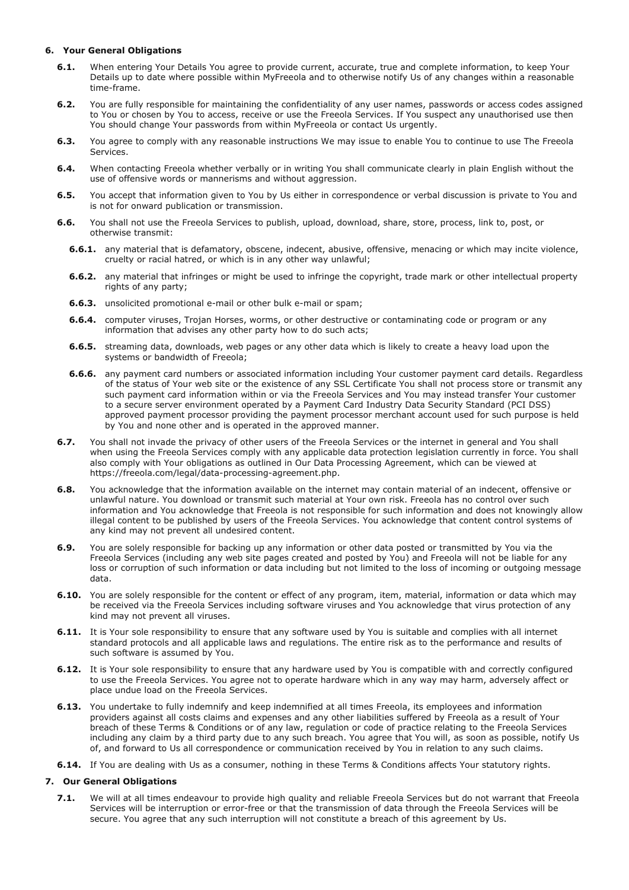### **6. Your General Obligations**

- **6.1.** When entering Your Details You agree to provide current, accurate, true and complete information, to keep Your Details up to date where possible within MyFreeola and to otherwise notify Us of any changes within a reasonable time-frame.
- **6.2.** You are fully responsible for maintaining the confidentiality of any user names, passwords or access codes assigned to You or chosen by You to access, receive or use the Freeola Services. If You suspect any unauthorised use then You should change Your passwords from within MyFreeola or contact Us urgently.
- **6.3.** You agree to comply with any reasonable instructions We may issue to enable You to continue to use The Freeola Services.
- **6.4.** When contacting Freeola whether verbally or in writing You shall communicate clearly in plain English without the use of offensive words or mannerisms and without aggression.
- **6.5.** You accept that information given to You by Us either in correspondence or verbal discussion is private to You and is not for onward publication or transmission.
- **6.6.** You shall not use the Freeola Services to publish, upload, download, share, store, process, link to, post, or otherwise transmit:
	- **6.6.1.** any material that is defamatory, obscene, indecent, abusive, offensive, menacing or which may incite violence, cruelty or racial hatred, or which is in any other way unlawful;
	- **6.6.2.** any material that infringes or might be used to infringe the copyright, trade mark or other intellectual property rights of any party;
	- **6.6.3.** unsolicited promotional e-mail or other bulk e-mail or spam;
	- **6.6.4.** computer viruses, Trojan Horses, worms, or other destructive or contaminating code or program or any information that advises any other party how to do such acts;
	- **6.6.5.** streaming data, downloads, web pages or any other data which is likely to create a heavy load upon the systems or bandwidth of Freeola;
	- **6.6.6.** any payment card numbers or associated information including Your customer payment card details. Regardless of the status of Your web site or the existence of any SSL Certificate You shall not process store or transmit any such payment card information within or via the Freeola Services and You may instead transfer Your customer to a secure server environment operated by a Payment Card Industry Data Security Standard (PCI DSS) approved payment processor providing the payment processor merchant account used for such purpose is held by You and none other and is operated in the approved manner.
- **6.7.** You shall not invade the privacy of other users of the Freeola Services or the internet in general and You shall when using the Freeola Services comply with any applicable data protection legislation currently in force. You shall also comply with Your obligations as outlined in Our Data Processing Agreement, which can be viewed at https://freeola.com/legal/data-processing-agreement.php.
- **6.8.** You acknowledge that the information available on the internet may contain material of an indecent, offensive or unlawful nature. You download or transmit such material at Your own risk. Freeola has no control over such information and You acknowledge that Freeola is not responsible for such information and does not knowingly allow illegal content to be published by users of the Freeola Services. You acknowledge that content control systems of any kind may not prevent all undesired content.
- **6.9.** You are solely responsible for backing up any information or other data posted or transmitted by You via the Freeola Services (including any web site pages created and posted by You) and Freeola will not be liable for any loss or corruption of such information or data including but not limited to the loss of incoming or outgoing message data.
- **6.10.** You are solely responsible for the content or effect of any program, item, material, information or data which may be received via the Freeola Services including software viruses and You acknowledge that virus protection of any kind may not prevent all viruses.
- **6.11.** It is Your sole responsibility to ensure that any software used by You is suitable and complies with all internet standard protocols and all applicable laws and regulations. The entire risk as to the performance and results of such software is assumed by You.
- **6.12.** It is Your sole responsibility to ensure that any hardware used by You is compatible with and correctly configured to use the Freeola Services. You agree not to operate hardware which in any way may harm, adversely affect or place undue load on the Freeola Services.
- **6.13.** You undertake to fully indemnify and keep indemnified at all times Freeola, its employees and information providers against all costs claims and expenses and any other liabilities suffered by Freeola as a result of Your breach of these Terms & Conditions or of any law, regulation or code of practice relating to the Freeola Services including any claim by a third party due to any such breach. You agree that You will, as soon as possible, notify Us of, and forward to Us all correspondence or communication received by You in relation to any such claims.
- **6.14.** If You are dealing with Us as a consumer, nothing in these Terms & Conditions affects Your statutory rights.

# **7. Our General Obligations**

**7.1.** We will at all times endeavour to provide high quality and reliable Freeola Services but do not warrant that Freeola Services will be interruption or error-free or that the transmission of data through the Freeola Services will be secure. You agree that any such interruption will not constitute a breach of this agreement by Us.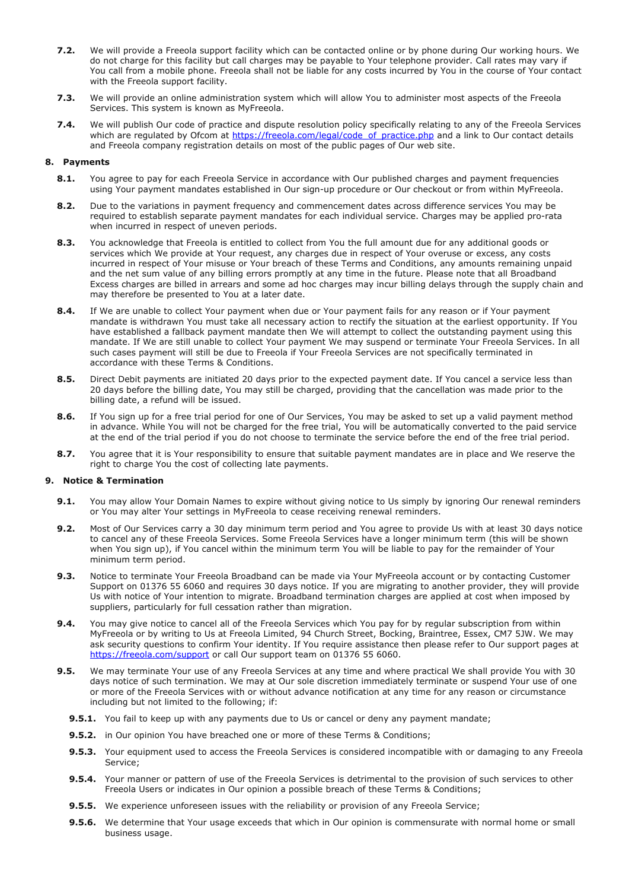- **7.2.** We will provide a Freeola support facility which can be contacted online or by phone during Our working hours. We do not charge for this facility but call charges may be payable to Your telephone provider. Call rates may vary if You call from a mobile phone. Freeola shall not be liable for any costs incurred by You in the course of Your contact with the Freeola support facility.
- **7.3.** We will provide an online administration system which will allow You to administer most aspects of the Freeola Services. This system is known as MyFreeola.
- **7.4.** We will publish Our code of practice and dispute resolution policy specifically relating to any of the Freeola Services which are regulated by Ofcom at [https://freeola.com/legal/code\\_of\\_practice.php](http://freeola.com/legal/code_of_practice.php) and a link to Our contact details and Freeola company registration details on most of the public pages of Our web site.

### **8. Payments**

- 8.1. You agree to pay for each Freeola Service in accordance with Our published charges and payment frequencies using Your payment mandates established in Our sign-up procedure or Our checkout or from within MyFreeola.
- **8.2.** Due to the variations in payment frequency and commencement dates across difference services You may be required to establish separate payment mandates for each individual service. Charges may be applied pro-rata when incurred in respect of uneven periods.
- **8.3.** You acknowledge that Freeola is entitled to collect from You the full amount due for any additional goods or services which We provide at Your request, any charges due in respect of Your overuse or excess, any costs incurred in respect of Your misuse or Your breach of these Terms and Conditions, any amounts remaining unpaid and the net sum value of any billing errors promptly at any time in the future. Please note that all Broadband Excess charges are billed in arrears and some ad hoc charges may incur billing delays through the supply chain and may therefore be presented to You at a later date.
- **8.4.** If We are unable to collect Your payment when due or Your payment fails for any reason or if Your payment mandate is withdrawn You must take all necessary action to rectify the situation at the earliest opportunity. If You have established a fallback payment mandate then We will attempt to collect the outstanding payment using this mandate. If We are still unable to collect Your payment We may suspend or terminate Your Freeola Services. In all such cases payment will still be due to Freeola if Your Freeola Services are not specifically terminated in accordance with these Terms & Conditions.
- **8.5.** Direct Debit payments are initiated 20 days prior to the expected payment date. If You cancel a service less than 20 days before the billing date, You may still be charged, providing that the cancellation was made prior to the billing date, a refund will be issued.
- **8.6.** If You sign up for a free trial period for one of Our Services, You may be asked to set up a valid payment method in advance. While You will not be charged for the free trial, You will be automatically converted to the paid service at the end of the trial period if you do not choose to terminate the service before the end of the free trial period.
- **8.7.** You agree that it is Your responsibility to ensure that suitable payment mandates are in place and We reserve the right to charge You the cost of collecting late payments.

# **9. Notice & Termination**

- **9.1.** You may allow Your Domain Names to expire without giving notice to Us simply by ignoring Our renewal reminders or You may alter Your settings in MyFreeola to cease receiving renewal reminders.
- **9.2.** Most of Our Services carry a 30 day minimum term period and You agree to provide Us with at least 30 days notice to cancel any of these Freeola Services. Some Freeola Services have a longer minimum term (this will be shown when You sign up), if You cancel within the minimum term You will be liable to pay for the remainder of Your minimum term period.
- **9.3.** Notice to terminate Your Freeola Broadband can be made via Your MyFreeola account or by contacting Customer Support on 01376 55 6060 and requires 30 days notice. If you are migrating to another provider, they will provide Us with notice of Your intention to migrate. Broadband termination charges are applied at cost when imposed by suppliers, particularly for full cessation rather than migration.
- **9.4.** You may give notice to cancel all of the Freeola Services which You pay for by regular subscription from within MyFreeola or by writing to Us at Freeola Limited, 94 Church Street, Bocking, Braintree, Essex, CM7 5JW. We may ask security questions to confirm Your identity. If You require assistance then please refer to Our support pages at [https://freeola.com/support](http://freeola.com/support) or call Our support team on 01376 55 6060.
- **9.5.** We may terminate Your use of any Freeola Services at any time and where practical We shall provide You with 30 days notice of such termination. We may at Our sole discretion immediately terminate or suspend Your use of one or more of the Freeola Services with or without advance notification at any time for any reason or circumstance including but not limited to the following; if:
	- **9.5.1.** You fail to keep up with any payments due to Us or cancel or deny any payment mandate;
	- **9.5.2.** in Our opinion You have breached one or more of these Terms & Conditions;
	- **9.5.3.** Your equipment used to access the Freeola Services is considered incompatible with or damaging to any Freeola Service;
	- **9.5.4.** Your manner or pattern of use of the Freeola Services is detrimental to the provision of such services to other Freeola Users or indicates in Our opinion a possible breach of these Terms & Conditions;
	- **9.5.5.** We experience unforeseen issues with the reliability or provision of any Freeola Service;
	- **9.5.6.** We determine that Your usage exceeds that which in Our opinion is commensurate with normal home or small business usage.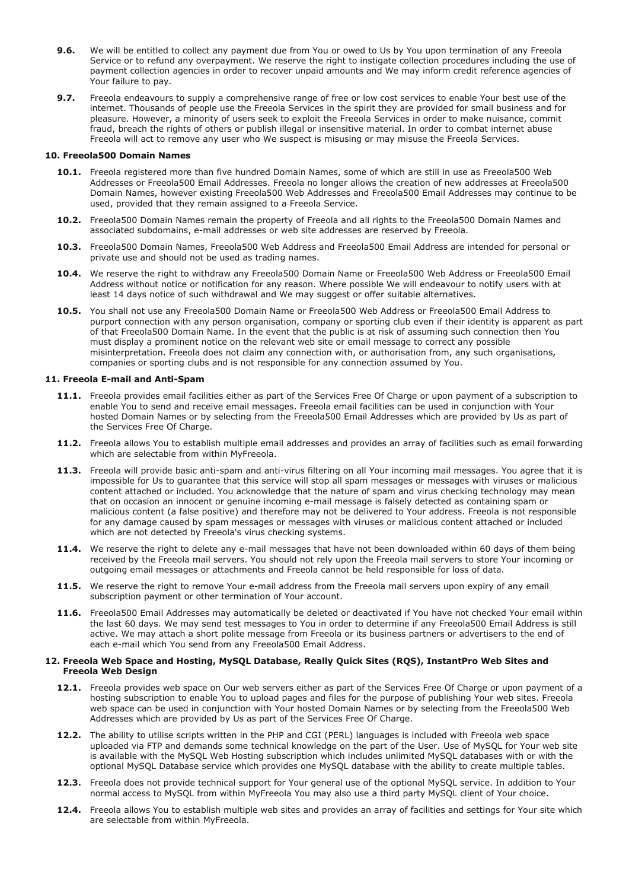- **9.6.** We will be entitled to collect any payment due from You or owed to Us by You upon termination of any Freeola Service or to refund any overpayment. We reserve the right to instigate collection procedures including the use of payment collection agencies in order to recover unpaid amounts and We may inform credit reference agencies of Your failure to pay.
- **9.7.** Freeola endeavours to supply a comprehensive range of free or low cost services to enable Your best use of the internet. Thousands of people use the Freeola Services in the spirit they are provided for small business and for pleasure. However, a minority of users seek to exploit the Freeola Services in order to make nuisance, commit fraud, breach the rights of others or publish illegal or insensitive material. In order to combat internet abuse Freeola will act to remove any user who We suspect is misusing or may misuse the Freeola Services.

#### **10. Freeola500 Domain Names**

- **10.1.** Freeola registered more than five hundred Domain Names, some of which are still in use as Freeola500 Web Addresses or Freeola500 Email Addresses. Freeola no longer allows the creation of new addresses at Freeola500 Domain Names, however existing Freeola500 Web Addresses and Freeola500 Email Addresses may continue to be used, provided that they remain assigned to a Freeola Service.
- **10.2.** Freeola500 Domain Names remain the property of Freeola and all rights to the Freeola500 Domain Names and associated subdomains, e-mail addresses or web site addresses are reserved by Freeola.
- **10.3.** Freeola500 Domain Names, Freeola500 Web Address and Freeola500 Email Address are intended for personal or private use and should not be used as trading names.
- **10.4.** We reserve the right to withdraw any Freeola500 Domain Name or Freeola500 Web Address or Freeola500 Email Address without notice or notification for any reason. Where possible We will endeavour to notify users with at least 14 days notice of such withdrawal and We may suggest or offer suitable alternatives.
- **10.5.** You shall not use any Freeola500 Domain Name or Freeola500 Web Address or Freeola500 Email Address to purport connection with any person organisation, company or sporting club even if their identity is apparent as part of that Freeola500 Domain Name. In the event that the public is at risk of assuming such connection then You must display a prominent notice on the relevant web site or email message to correct any possible misinterpretation. Freeola does not claim any connection with, or authorisation from, any such organisations, companies or sporting clubs and is not responsible for any connection assumed by You.

### **11. Freeola E-mail and Anti-Spam**

- **11.1.** Freeola provides email facilities either as part of the Services Free Of Charge or upon payment of a subscription to enable You to send and receive email messages. Freeola email facilities can be used in conjunction with Your hosted Domain Names or by selecting from the Freeola500 Email Addresses which are provided by Us as part of the Services Free Of Charge.
- **11.2.** Freeola allows You to establish multiple email addresses and provides an array of facilities such as email forwarding which are selectable from within MyFreeola.
- **11.3.** Freeola will provide basic anti-spam and anti-virus filtering on all Your incoming mail messages. You agree that it is impossible for Us to guarantee that this service will stop all spam messages or messages with viruses or malicious content attached or included. You acknowledge that the nature of spam and virus checking technology may mean that on occasion an innocent or genuine incoming e-mail message is falsely detected as containing spam or malicious content (a false positive) and therefore may not be delivered to Your address. Freeola is not responsible for any damage caused by spam messages or messages with viruses or malicious content attached or included which are not detected by Freeola's virus checking systems.
- **11.4.** We reserve the right to delete any e-mail messages that have not been downloaded within 60 days of them being received by the Freeola mail servers. You should not rely upon the Freeola mail servers to store Your incoming or outgoing email messages or attachments and Freeola cannot be held responsible for loss of data.
- **11.5.** We reserve the right to remove Your e-mail address from the Freeola mail servers upon expiry of any email subscription payment or other termination of Your account.
- **11.6.** Freeola500 Email Addresses may automatically be deleted or deactivated if You have not checked Your email within the last 60 days. We may send test messages to You in order to determine if any Freeola500 Email Address is still active. We may attach a short polite message from Freeola or its business partners or advertisers to the end of each e-mail which You send from any Freeola500 Email Address.

### **12. Freeola Web Space and Hosting, MySQL Database, Really Quick Sites (RQS), InstantPro Web Sites and Freeola Web Design**

- **12.1.** Freeola provides web space on Our web servers either as part of the Services Free Of Charge or upon payment of a hosting subscription to enable You to upload pages and files for the purpose of publishing Your web sites. Freeola web space can be used in conjunction with Your hosted Domain Names or by selecting from the Freeola500 Web Addresses which are provided by Us as part of the Services Free Of Charge.
- **12.2.** The ability to utilise scripts written in the PHP and CGI (PERL) languages is included with Freeola web space uploaded via FTP and demands some technical knowledge on the part of the User. Use of MySQL for Your web site is available with the MySQL Web Hosting subscription which includes unlimited MySQL databases with or with the optional MySQL Database service which provides one MySQL database with the ability to create multiple tables.
- **12.3.** Freeola does not provide technical support for Your general use of the optional MySQL service. In addition to Your normal access to MySQL from within MyFreeola You may also use a third party MySQL client of Your choice.
- **12.4.** Freeola allows You to establish multiple web sites and provides an array of facilities and settings for Your site which are selectable from within MyFreeola.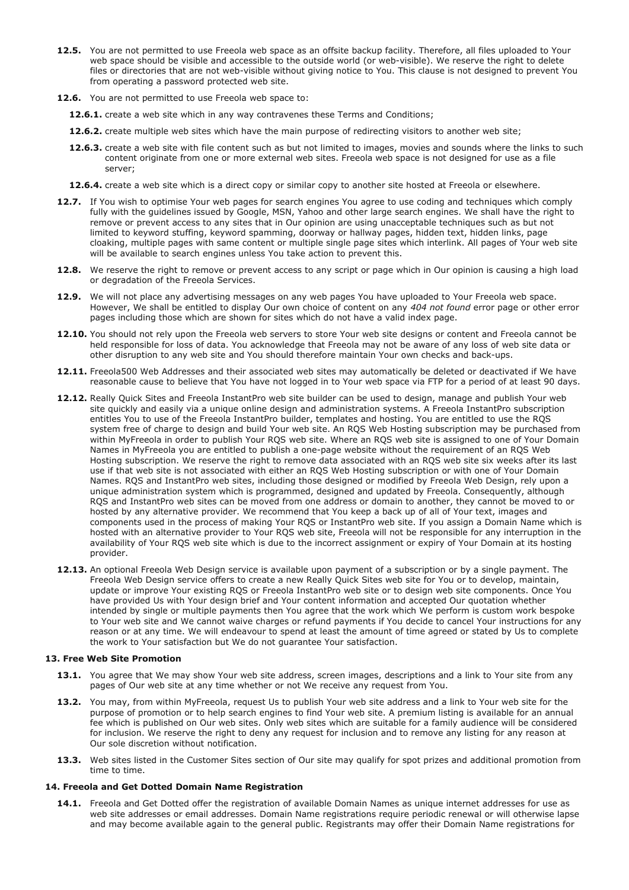- **12.5.** You are not permitted to use Freeola web space as an offsite backup facility. Therefore, all files uploaded to Your web space should be visible and accessible to the outside world (or web-visible). We reserve the right to delete files or directories that are not web-visible without giving notice to You. This clause is not designed to prevent You from operating a password protected web site.
- **12.6.** You are not permitted to use Freeola web space to:
	- **12.6.1.** create a web site which in any way contravenes these Terms and Conditions;
	- **12.6.2.** create multiple web sites which have the main purpose of redirecting visitors to another web site;
	- **12.6.3.** create a web site with file content such as but not limited to images, movies and sounds where the links to such content originate from one or more external web sites. Freeola web space is not designed for use as a file server;
	- **12.6.4.** create a web site which is a direct copy or similar copy to another site hosted at Freeola or elsewhere.
- **12.7.** If You wish to optimise Your web pages for search engines You agree to use coding and techniques which comply fully with the guidelines issued by Google, MSN, Yahoo and other large search engines. We shall have the right to remove or prevent access to any sites that in Our opinion are using unacceptable techniques such as but not limited to keyword stuffing, keyword spamming, doorway or hallway pages, hidden text, hidden links, page cloaking, multiple pages with same content or multiple single page sites which interlink. All pages of Your web site will be available to search engines unless You take action to prevent this.
- **12.8.** We reserve the right to remove or prevent access to any script or page which in Our opinion is causing a high load or degradation of the Freeola Services.
- **12.9.** We will not place any advertising messages on any web pages You have uploaded to Your Freeola web space. However, We shall be entitled to display Our own choice of content on any *404 not found* error page or other error pages including those which are shown for sites which do not have a valid index page.
- **12.10.** You should not rely upon the Freeola web servers to store Your web site designs or content and Freeola cannot be held responsible for loss of data. You acknowledge that Freeola may not be aware of any loss of web site data or other disruption to any web site and You should therefore maintain Your own checks and back-ups.
- **12.11.** Freeola500 Web Addresses and their associated web sites may automatically be deleted or deactivated if We have reasonable cause to believe that You have not logged in to Your web space via FTP for a period of at least 90 days.
- **12.12.** Really Quick Sites and Freeola InstantPro web site builder can be used to design, manage and publish Your web site quickly and easily via a unique online design and administration systems. A Freeola InstantPro subscription entitles You to use of the Freeola InstantPro builder, templates and hosting. You are entitled to use the RQS system free of charge to design and build Your web site. An RQS Web Hosting subscription may be purchased from within MyFreeola in order to publish Your RQS web site. Where an RQS web site is assigned to one of Your Domain Names in MyFreeola you are entitled to publish a one-page website without the requirement of an RQS Web Hosting subscription. We reserve the right to remove data associated with an RQS web site six weeks after its last use if that web site is not associated with either an RQS Web Hosting subscription or with one of Your Domain Names. RQS and InstantPro web sites, including those designed or modified by Freeola Web Design, rely upon a unique administration system which is programmed, designed and updated by Freeola. Consequently, although RQS and InstantPro web sites can be moved from one address or domain to another, they cannot be moved to or hosted by any alternative provider. We recommend that You keep a back up of all of Your text, images and components used in the process of making Your RQS or InstantPro web site. If you assign a Domain Name which is hosted with an alternative provider to Your RQS web site, Freeola will not be responsible for any interruption in the availability of Your RQS web site which is due to the incorrect assignment or expiry of Your Domain at its hosting provider.
- **12.13.** An optional Freeola Web Design service is available upon payment of a subscription or by a single payment. The Freeola Web Design service offers to create a new Really Quick Sites web site for You or to develop, maintain, update or improve Your existing RQS or Freeola InstantPro web site or to design web site components. Once You have provided Us with Your design brief and Your content information and accepted Our quotation whether intended by single or multiple payments then You agree that the work which We perform is custom work bespoke to Your web site and We cannot waive charges or refund payments if You decide to cancel Your instructions for any reason or at any time. We will endeavour to spend at least the amount of time agreed or stated by Us to complete the work to Your satisfaction but We do not guarantee Your satisfaction.

### **13. Free Web Site Promotion**

- 13.1. You agree that We may show Your web site address, screen images, descriptions and a link to Your site from any pages of Our web site at any time whether or not We receive any request from You.
- **13.2.** You may, from within MyFreeola, request Us to publish Your web site address and a link to Your web site for the purpose of promotion or to help search engines to find Your web site. A premium listing is available for an annual fee which is published on Our web sites. Only web sites which are suitable for a family audience will be considered for inclusion. We reserve the right to deny any request for inclusion and to remove any listing for any reason at Our sole discretion without notification.
- **13.3.** Web sites listed in the Customer Sites section of Our site may qualify for spot prizes and additional promotion from time to time.

# **14. Freeola and Get Dotted Domain Name Registration**

**14.1.** Freeola and Get Dotted offer the registration of available Domain Names as unique internet addresses for use as web site addresses or email addresses. Domain Name registrations require periodic renewal or will otherwise lapse and may become available again to the general public. Registrants may offer their Domain Name registrations for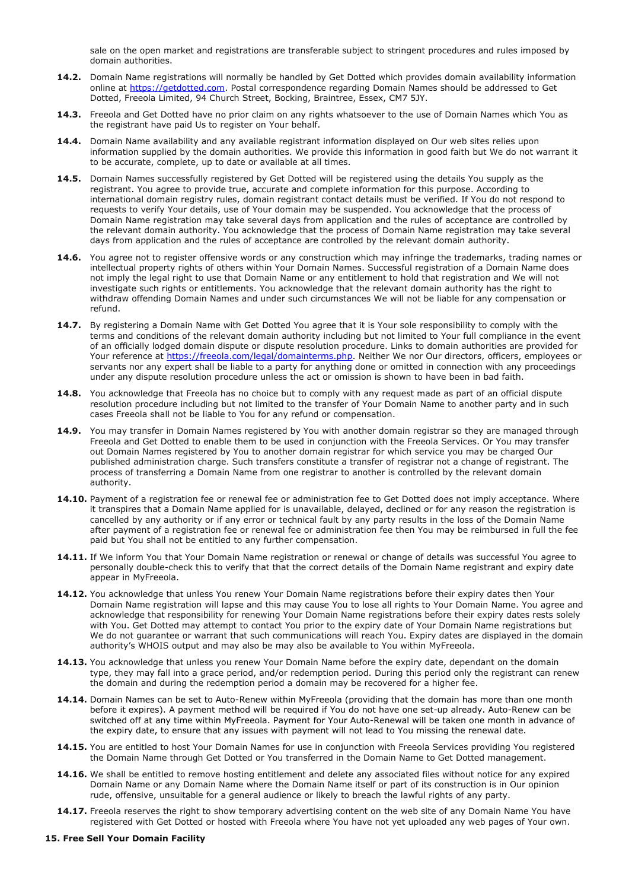sale on the open market and registrations are transferable subject to stringent procedures and rules imposed by domain authorities.

- **14.2.** Domain Name registrations will normally be handled by Get Dotted which provides domain availability information online at [https://getdotted.com.](https://getdotted.com/) Postal correspondence regarding Domain Names should be addressed to Get Dotted, Freeola Limited, 94 Church Street, Bocking, Braintree, Essex, CM7 5JY.
- **14.3.** Freeola and Get Dotted have no prior claim on any rights whatsoever to the use of Domain Names which You as the registrant have paid Us to register on Your behalf.
- **14.4.** Domain Name availability and any available registrant information displayed on Our web sites relies upon information supplied by the domain authorities. We provide this information in good faith but We do not warrant it to be accurate, complete, up to date or available at all times.
- **14.5.** Domain Names successfully registered by Get Dotted will be registered using the details You supply as the registrant. You agree to provide true, accurate and complete information for this purpose. According to international domain registry rules, domain registrant contact details must be verified. If You do not respond to requests to verify Your details, use of Your domain may be suspended. You acknowledge that the process of Domain Name registration may take several days from application and the rules of acceptance are controlled by the relevant domain authority. You acknowledge that the process of Domain Name registration may take several days from application and the rules of acceptance are controlled by the relevant domain authority.
- **14.6.** You agree not to register offensive words or any construction which may infringe the trademarks, trading names or intellectual property rights of others within Your Domain Names. Successful registration of a Domain Name does not imply the legal right to use that Domain Name or any entitlement to hold that registration and We will not investigate such rights or entitlements. You acknowledge that the relevant domain authority has the right to withdraw offending Domain Names and under such circumstances We will not be liable for any compensation or refund.
- **14.7.** By registering a Domain Name with Get Dotted You agree that it is Your sole responsibility to comply with the terms and conditions of the relevant domain authority including but not limited to Your full compliance in the event of an officially lodged domain dispute or dispute resolution procedure. Links to domain authorities are provided for Your reference at [https://freeola.com/legal/domainterms.php.](http://freeola.com/legal/domainterms.php) Neither We nor Our directors, officers, employees or servants nor any expert shall be liable to a party for anything done or omitted in connection with any proceedings under any dispute resolution procedure unless the act or omission is shown to have been in bad faith.
- **14.8.** You acknowledge that Freeola has no choice but to comply with any request made as part of an official dispute resolution procedure including but not limited to the transfer of Your Domain Name to another party and in such cases Freeola shall not be liable to You for any refund or compensation.
- **14.9.** You may transfer in Domain Names registered by You with another domain registrar so they are managed through Freeola and Get Dotted to enable them to be used in conjunction with the Freeola Services. Or You may transfer out Domain Names registered by You to another domain registrar for which service you may be charged Our published administration charge. Such transfers constitute a transfer of registrar not a change of registrant. The process of transferring a Domain Name from one registrar to another is controlled by the relevant domain authority.
- 14.10. Payment of a registration fee or renewal fee or administration fee to Get Dotted does not imply acceptance. Where it transpires that a Domain Name applied for is unavailable, delayed, declined or for any reason the registration is cancelled by any authority or if any error or technical fault by any party results in the loss of the Domain Name after payment of a registration fee or renewal fee or administration fee then You may be reimbursed in full the fee paid but You shall not be entitled to any further compensation.
- **14.11.** If We inform You that Your Domain Name registration or renewal or change of details was successful You agree to personally double-check this to verify that that the correct details of the Domain Name registrant and expiry date appear in MyFreeola.
- **14.12.** You acknowledge that unless You renew Your Domain Name registrations before their expiry dates then Your Domain Name registration will lapse and this may cause You to lose all rights to Your Domain Name. You agree and acknowledge that responsibility for renewing Your Domain Name registrations before their expiry dates rests solely with You. Get Dotted may attempt to contact You prior to the expiry date of Your Domain Name registrations but We do not guarantee or warrant that such communications will reach You. Expiry dates are displayed in the domain authority's WHOIS output and may also be may also be available to You within MyFreeola.
- **14.13.** You acknowledge that unless you renew Your Domain Name before the expiry date, dependant on the domain type, they may fall into a grace period, and/or redemption period. During this period only the registrant can renew the domain and during the redemption period a domain may be recovered for a higher fee.
- **14.14.** Domain Names can be set to Auto-Renew within MyFreeola (providing that the domain has more than one month before it expires). A payment method will be required if You do not have one set-up already. Auto-Renew can be switched off at any time within MyFreeola. Payment for Your Auto-Renewal will be taken one month in advance of the expiry date, to ensure that any issues with payment will not lead to You missing the renewal date.
- **14.15.** You are entitled to host Your Domain Names for use in conjunction with Freeola Services providing You registered the Domain Name through Get Dotted or You transferred in the Domain Name to Get Dotted management.
- **14.16.** We shall be entitled to remove hosting entitlement and delete any associated files without notice for any expired Domain Name or any Domain Name where the Domain Name itself or part of its construction is in Our opinion rude, offensive, unsuitable for a general audience or likely to breach the lawful rights of any party.
- 14.17. Freeola reserves the right to show temporary advertising content on the web site of any Domain Name You have registered with Get Dotted or hosted with Freeola where You have not yet uploaded any web pages of Your own.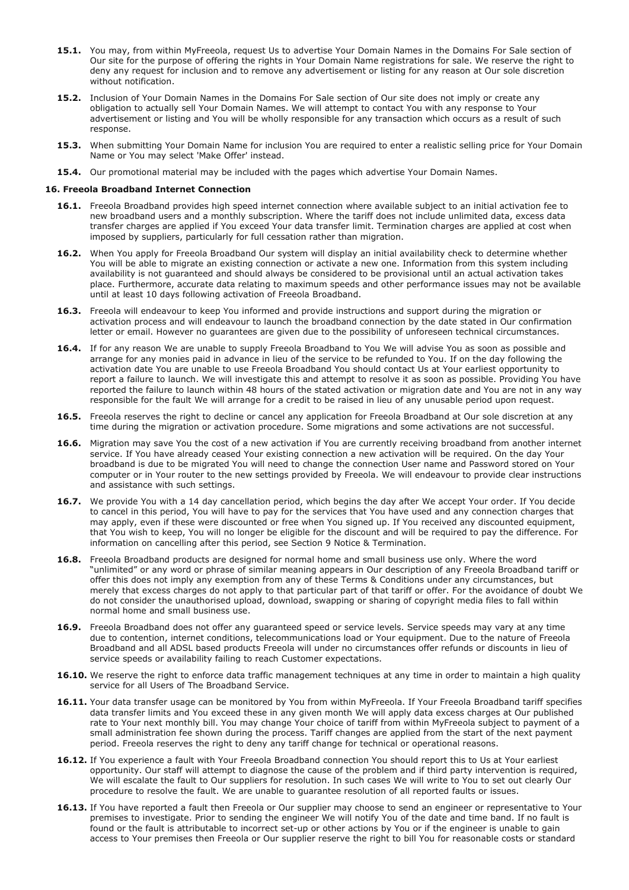- **15.1.** You may, from within MyFreeola, request Us to advertise Your Domain Names in the Domains For Sale section of Our site for the purpose of offering the rights in Your Domain Name registrations for sale. We reserve the right to deny any request for inclusion and to remove any advertisement or listing for any reason at Our sole discretion without notification.
- **15.2.** Inclusion of Your Domain Names in the Domains For Sale section of Our site does not imply or create any obligation to actually sell Your Domain Names. We will attempt to contact You with any response to Your advertisement or listing and You will be wholly responsible for any transaction which occurs as a result of such response.
- **15.3.** When submitting Your Domain Name for inclusion You are required to enter a realistic selling price for Your Domain Name or You may select 'Make Offer' instead.
- **15.4.** Our promotional material may be included with the pages which advertise Your Domain Names.

#### **16. Freeola Broadband Internet Connection**

- **16.1.** Freeola Broadband provides high speed internet connection where available subject to an initial activation fee to new broadband users and a monthly subscription. Where the tariff does not include unlimited data, excess data transfer charges are applied if You exceed Your data transfer limit. Termination charges are applied at cost when imposed by suppliers, particularly for full cessation rather than migration.
- **16.2.** When You apply for Freeola Broadband Our system will display an initial availability check to determine whether You will be able to migrate an existing connection or activate a new one. Information from this system including availability is not guaranteed and should always be considered to be provisional until an actual activation takes place. Furthermore, accurate data relating to maximum speeds and other performance issues may not be available until at least 10 days following activation of Freeola Broadband.
- **16.3.** Freeola will endeavour to keep You informed and provide instructions and support during the migration or activation process and will endeavour to launch the broadband connection by the date stated in Our confirmation letter or email. However no guarantees are given due to the possibility of unforeseen technical circumstances.
- **16.4.** If for any reason We are unable to supply Freeola Broadband to You We will advise You as soon as possible and arrange for any monies paid in advance in lieu of the service to be refunded to You. If on the day following the activation date You are unable to use Freeola Broadband You should contact Us at Your earliest opportunity to report a failure to launch. We will investigate this and attempt to resolve it as soon as possible. Providing You have reported the failure to launch within 48 hours of the stated activation or migration date and You are not in any way responsible for the fault We will arrange for a credit to be raised in lieu of any unusable period upon request.
- **16.5.** Freeola reserves the right to decline or cancel any application for Freeola Broadband at Our sole discretion at any time during the migration or activation procedure. Some migrations and some activations are not successful.
- **16.6.** Migration may save You the cost of a new activation if You are currently receiving broadband from another internet service. If You have already ceased Your existing connection a new activation will be required. On the day Your broadband is due to be migrated You will need to change the connection User name and Password stored on Your computer or in Your router to the new settings provided by Freeola. We will endeavour to provide clear instructions and assistance with such settings.
- **16.7.** We provide You with a 14 day cancellation period, which begins the day after We accept Your order. If You decide to cancel in this period, You will have to pay for the services that You have used and any connection charges that may apply, even if these were discounted or free when You signed up. If You received any discounted equipment, that You wish to keep, You will no longer be eligible for the discount and will be required to pay the difference. For information on cancelling after this period, see Section 9 Notice & Termination.
- **16.8.** Freeola Broadband products are designed for normal home and small business use only. Where the word "unlimited" or any word or phrase of similar meaning appears in Our description of any Freeola Broadband tariff or offer this does not imply any exemption from any of these Terms & Conditions under any circumstances, but merely that excess charges do not apply to that particular part of that tariff or offer. For the avoidance of doubt We do not consider the unauthorised upload, download, swapping or sharing of copyright media files to fall within normal home and small business use.
- **16.9.** Freeola Broadband does not offer any guaranteed speed or service levels. Service speeds may vary at any time due to contention, internet conditions, telecommunications load or Your equipment. Due to the nature of Freeola Broadband and all ADSL based products Freeola will under no circumstances offer refunds or discounts in lieu of service speeds or availability failing to reach Customer expectations.
- **16.10.** We reserve the right to enforce data traffic management techniques at any time in order to maintain a high quality service for all Users of The Broadband Service.
- 16.11. Your data transfer usage can be monitored by You from within MyFreeola. If Your Freeola Broadband tariff specifies data transfer limits and You exceed these in any given month We will apply data excess charges at Our published rate to Your next monthly bill. You may change Your choice of tariff from within MyFreeola subject to payment of a small administration fee shown during the process. Tariff changes are applied from the start of the next payment period. Freeola reserves the right to deny any tariff change for technical or operational reasons.
- **16.12.** If You experience a fault with Your Freeola Broadband connection You should report this to Us at Your earliest opportunity. Our staff will attempt to diagnose the cause of the problem and if third party intervention is required, We will escalate the fault to Our suppliers for resolution. In such cases We will write to You to set out clearly Our procedure to resolve the fault. We are unable to guarantee resolution of all reported faults or issues.
- 16.13. If You have reported a fault then Freeola or Our supplier may choose to send an engineer or representative to Your premises to investigate. Prior to sending the engineer We will notify You of the date and time band. If no fault is found or the fault is attributable to incorrect set-up or other actions by You or if the engineer is unable to gain access to Your premises then Freeola or Our supplier reserve the right to bill You for reasonable costs or standard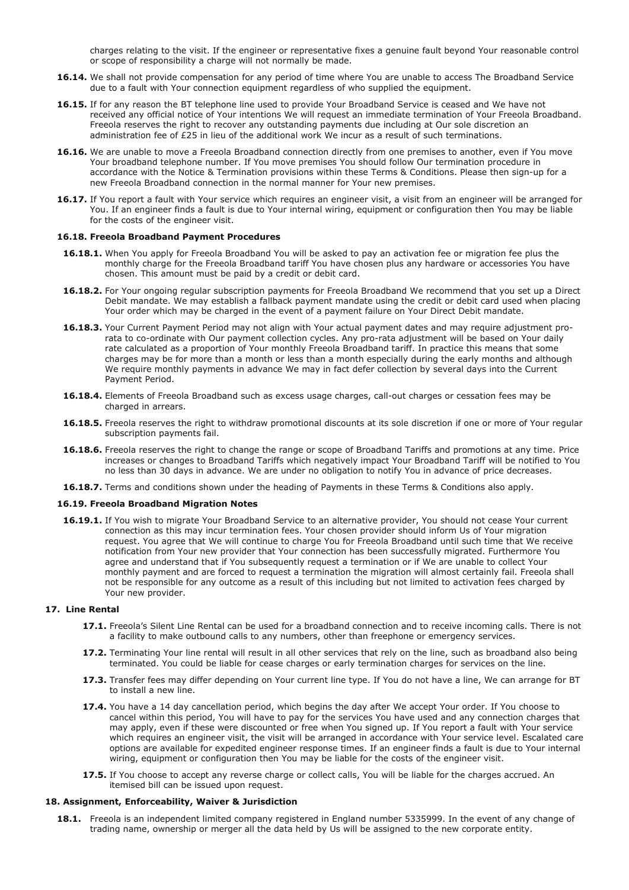charges relating to the visit. If the engineer or representative fixes a genuine fault beyond Your reasonable control or scope of responsibility a charge will not normally be made.

- **16.14.** We shall not provide compensation for any period of time where You are unable to access The Broadband Service due to a fault with Your connection equipment regardless of who supplied the equipment.
- **16.15.** If for any reason the BT telephone line used to provide Your Broadband Service is ceased and We have not received any official notice of Your intentions We will request an immediate termination of Your Freeola Broadband. Freeola reserves the right to recover any outstanding payments due including at Our sole discretion an administration fee of £25 in lieu of the additional work We incur as a result of such terminations.
- 16.16. We are unable to move a Freeola Broadband connection directly from one premises to another, even if You move Your broadband telephone number. If You move premises You should follow Our termination procedure in accordance with the Notice & Termination provisions within these Terms & Conditions. Please then sign-up for a new Freeola Broadband connection in the normal manner for Your new premises.
- **16.17.** If You report a fault with Your service which requires an engineer visit, a visit from an engineer will be arranged for You. If an engineer finds a fault is due to Your internal wiring, equipment or configuration then You may be liable for the costs of the engineer visit.

#### **16.18. Freeola Broadband Payment Procedures**

- **16.18.1.** When You apply for Freeola Broadband You will be asked to pay an activation fee or migration fee plus the monthly charge for the Freeola Broadband tariff You have chosen plus any hardware or accessories You have chosen. This amount must be paid by a credit or debit card.
- 16.18.2. For Your ongoing regular subscription payments for Freeola Broadband We recommend that you set up a Direct Debit mandate. We may establish a fallback payment mandate using the credit or debit card used when placing Your order which may be charged in the event of a payment failure on Your Direct Debit mandate.
- **16.18.3.** Your Current Payment Period may not align with Your actual payment dates and may require adjustment prorata to co-ordinate with Our payment collection cycles. Any pro-rata adjustment will be based on Your daily rate calculated as a proportion of Your monthly Freeola Broadband tariff. In practice this means that some charges may be for more than a month or less than a month especially during the early months and although We require monthly payments in advance We may in fact defer collection by several days into the Current Payment Period.
- **16.18.4.** Elements of Freeola Broadband such as excess usage charges, call-out charges or cessation fees may be charged in arrears.
- **16.18.5.** Freeola reserves the right to withdraw promotional discounts at its sole discretion if one or more of Your regular subscription payments fail.
- **16.18.6.** Freeola reserves the right to change the range or scope of Broadband Tariffs and promotions at any time. Price increases or changes to Broadband Tariffs which negatively impact Your Broadband Tariff will be notified to You no less than 30 days in advance. We are under no obligation to notify You in advance of price decreases.
- **16.18.7.** Terms and conditions shown under the heading of Payments in these Terms & Conditions also apply.

### **16.19. Freeola Broadband Migration Notes**

**16.19.1.** If You wish to migrate Your Broadband Service to an alternative provider, You should not cease Your current connection as this may incur termination fees. Your chosen provider should inform Us of Your migration request. You agree that We will continue to charge You for Freeola Broadband until such time that We receive notification from Your new provider that Your connection has been successfully migrated. Furthermore You agree and understand that if You subsequently request a termination or if We are unable to collect Your monthly payment and are forced to request a termination the migration will almost certainly fail. Freeola shall not be responsible for any outcome as a result of this including but not limited to activation fees charged by Your new provider.

#### **17. Line Rental**

- **17.1.** Freeola's Silent Line Rental can be used for a broadband connection and to receive incoming calls. There is not a facility to make outbound calls to any numbers, other than freephone or emergency services.
- **17.2.** Terminating Your line rental will result in all other services that rely on the line, such as broadband also being terminated. You could be liable for cease charges or early termination charges for services on the line.
- **17.3.** Transfer fees may differ depending on Your current line type. If You do not have a line, We can arrange for BT to install a new line.
- **17.4.** You have a 14 day cancellation period, which begins the day after We accept Your order. If You choose to cancel within this period, You will have to pay for the services You have used and any connection charges that may apply, even if these were discounted or free when You signed up. If You report a fault with Your service which requires an engineer visit, the visit will be arranged in accordance with Your service level. Escalated care options are available for expedited engineer response times. If an engineer finds a fault is due to Your internal wiring, equipment or configuration then You may be liable for the costs of the engineer visit.
- 17.5. If You choose to accept any reverse charge or collect calls, You will be liable for the charges accrued. An itemised bill can be issued upon request.

#### **18. Assignment, Enforceability, Waiver & Jurisdiction**

**18.1.** Freeola is an independent limited company registered in England number 5335999. In the event of any change of trading name, ownership or merger all the data held by Us will be assigned to the new corporate entity.